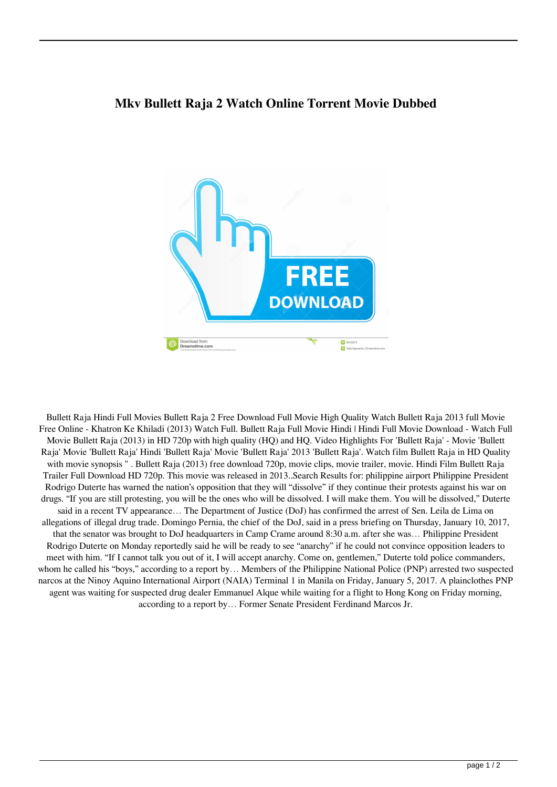## **Mkv Bullett Raja 2 Watch Online Torrent Movie Dubbed**



Bullett Raja Hindi Full Movies Bullett Raja 2 Free Download Full Movie High Quality Watch Bullett Raja 2013 full Movie Free Online - Khatron Ke Khiladi (2013) Watch Full. Bullett Raja Full Movie Hindi | Hindi Full Movie Download - Watch Full Movie Bullett Raja (2013) in HD 720p with high quality (HQ) and HQ. Video Highlights For 'Bullett Raja' - Movie 'Bullett Raja' Movie 'Bullett Raja' Hindi 'Bullett Raja' Movie 'Bullett Raja' 2013 'Bullett Raja'. Watch film Bullett Raja in HD Quality with movie synopsis " . Bullett Raja (2013) free download 720p, movie clips, movie trailer, movie. Hindi Film Bullett Raja Trailer Full Download HD 720p. This movie was released in 2013..Search Results for: philippine airport Philippine President Rodrigo Duterte has warned the nation's opposition that they will "dissolve" if they continue their protests against his war on drugs. "If you are still protesting, you will be the ones who will be dissolved. I will make them. You will be dissolved," Duterte said in a recent TV appearance... The Department of Justice (DoJ) has confirmed the arrest of Sen. Leila de Lima on allegations of illegal drug trade. Domingo Pernia, the chief of the DoJ, said in a press briefing on Thursday, January 10, 2017, that the senator was brought to DoJ headquarters in Camp Crame around 8:30 a.m. after she was… Philippine President Rodrigo Duterte on Monday reportedly said he will be ready to see "anarchy" if he could not convince opposition leaders to meet with him. "If I cannot talk you out of it, I will accept anarchy. Come on, gentlemen," Duterte told police commanders, whom he called his "boys," according to a report by… Members of the Philippine National Police (PNP) arrested two suspected narcos at the Ninoy Aquino International Airport (NAIA) Terminal 1 in Manila on Friday, January 5, 2017. A plainclothes PNP agent was waiting for suspected drug dealer Emmanuel Alque while waiting for a flight to Hong Kong on Friday morning, according to a report by… Former Senate President Ferdinand Marcos Jr.